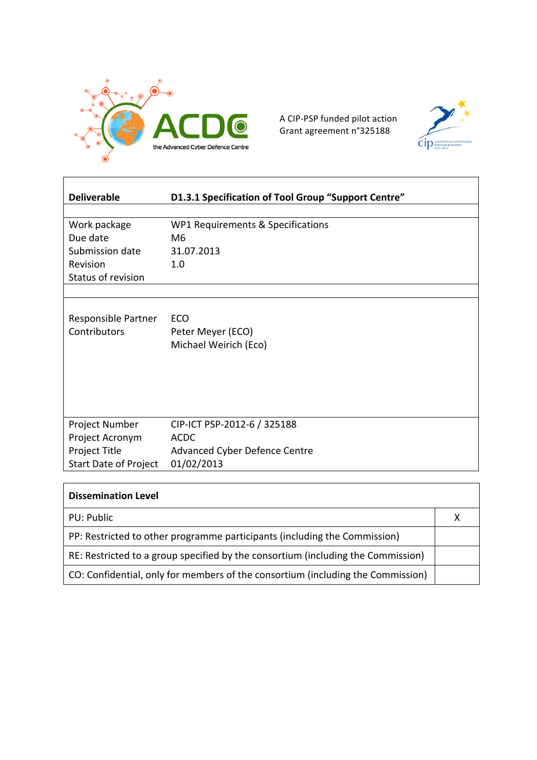

A CIP-PSP funded pilot action Grant agreement n°325188



| <b>Deliverable</b>           | D1.3.1 Specification of Tool Group "Support Centre" |
|------------------------------|-----------------------------------------------------|
|                              |                                                     |
| Work package                 | WP1 Requirements & Specifications                   |
| Due date                     | M <sub>6</sub>                                      |
| Submission date              | 31.07.2013                                          |
| Revision                     | 1.0                                                 |
| Status of revision           |                                                     |
|                              |                                                     |
|                              |                                                     |
| Responsible Partner          | ECO                                                 |
| Contributors                 | Peter Meyer (ECO)                                   |
|                              | Michael Weirich (Eco)                               |
|                              |                                                     |
|                              |                                                     |
|                              |                                                     |
|                              |                                                     |
|                              |                                                     |
| Project Number               | CIP-ICT PSP-2012-6 / 325188                         |
| Project Acronym              | <b>ACDC</b>                                         |
| Project Title                | <b>Advanced Cyber Defence Centre</b>                |
| <b>Start Date of Project</b> | 01/02/2013                                          |

| <b>Dissemination Level</b>                                                       |  |
|----------------------------------------------------------------------------------|--|
| PU: Public                                                                       |  |
| PP: Restricted to other programme participants (including the Commission)        |  |
| RE: Restricted to a group specified by the consortium (including the Commission) |  |
| CO: Confidential, only for members of the consortium (including the Commission)  |  |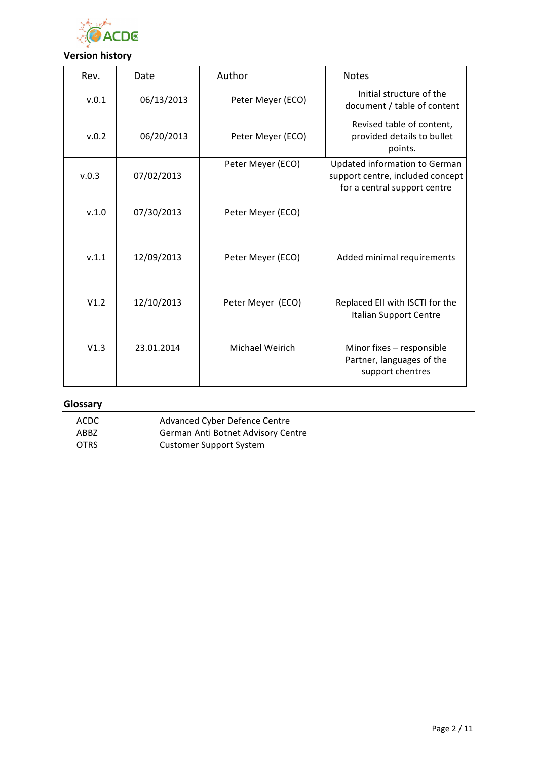

# **Version history**

| Rev.  | Date       | Author            | <b>Notes</b>                                                                                      |
|-------|------------|-------------------|---------------------------------------------------------------------------------------------------|
| v.0.1 | 06/13/2013 | Peter Meyer (ECO) | Initial structure of the<br>document / table of content                                           |
| v.0.2 | 06/20/2013 | Peter Meyer (ECO) | Revised table of content,<br>provided details to bullet<br>points.                                |
| v.0.3 | 07/02/2013 | Peter Meyer (ECO) | Updated information to German<br>support centre, included concept<br>for a central support centre |
| V.1.0 | 07/30/2013 | Peter Meyer (ECO) |                                                                                                   |
| V.1.1 | 12/09/2013 | Peter Meyer (ECO) | Added minimal requirements                                                                        |
| V1.2  | 12/10/2013 | Peter Meyer (ECO) | Replaced EII with ISCTI for the<br>Italian Support Centre                                         |
| V1.3  | 23.01.2014 | Michael Weirich   | Minor fixes - responsible<br>Partner, languages of the<br>support chentres                        |

# **Glossary**

ACDC Advanced Cyber Defence Centre ABBZ **German Anti Botnet Advisory Centre** OTRS Customer Support System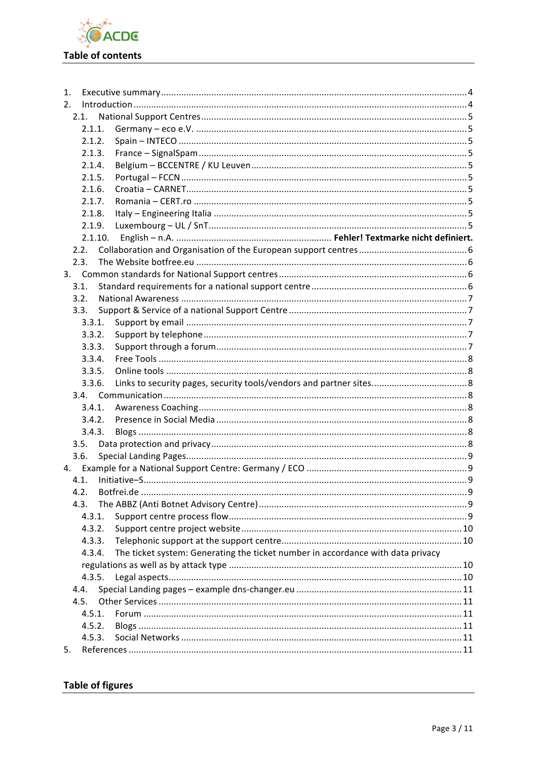

| 1.   |                                                                                           |  |
|------|-------------------------------------------------------------------------------------------|--|
| 2.   |                                                                                           |  |
|      | 2.1.                                                                                      |  |
|      | 2.1.1.                                                                                    |  |
|      | 2.1.2.                                                                                    |  |
|      | 2.1.3.                                                                                    |  |
|      | 2.1.4.                                                                                    |  |
|      | 2.1.5.                                                                                    |  |
|      | 2.1.6.                                                                                    |  |
|      | 2.1.7.                                                                                    |  |
|      | 2.1.8.                                                                                    |  |
|      | 2.1.9.                                                                                    |  |
|      | 2.1.10.                                                                                   |  |
|      | 2.2.                                                                                      |  |
| 2.3. |                                                                                           |  |
|      |                                                                                           |  |
| 3.1. |                                                                                           |  |
| 3.2. |                                                                                           |  |
| 3.3. |                                                                                           |  |
|      | 3.3.1.                                                                                    |  |
|      | 3.3.2.                                                                                    |  |
|      | 3.3.3.                                                                                    |  |
|      | 3.3.4.<br>3.3.5.                                                                          |  |
|      | 3.3.6.                                                                                    |  |
|      |                                                                                           |  |
|      | 3.4.1.                                                                                    |  |
|      | 3.4.2.                                                                                    |  |
|      | 3.4.3.                                                                                    |  |
| 3.5. |                                                                                           |  |
| 3.6. |                                                                                           |  |
| 4.   |                                                                                           |  |
| 4.1. |                                                                                           |  |
| 4.2. |                                                                                           |  |
| 4.3. |                                                                                           |  |
|      | 4.3.1.                                                                                    |  |
|      | 4.3.2.                                                                                    |  |
|      | 4.3.3.                                                                                    |  |
|      | The ticket system: Generating the ticket number in accordance with data privacy<br>4.3.4. |  |
|      |                                                                                           |  |
|      | 4.3.5.                                                                                    |  |
| 4.4. |                                                                                           |  |
|      | 4.5.                                                                                      |  |
|      | 4.5.1.                                                                                    |  |
|      | 4.5.2.                                                                                    |  |
|      | 4.5.3.                                                                                    |  |
| 5.   |                                                                                           |  |

# **Table of figures**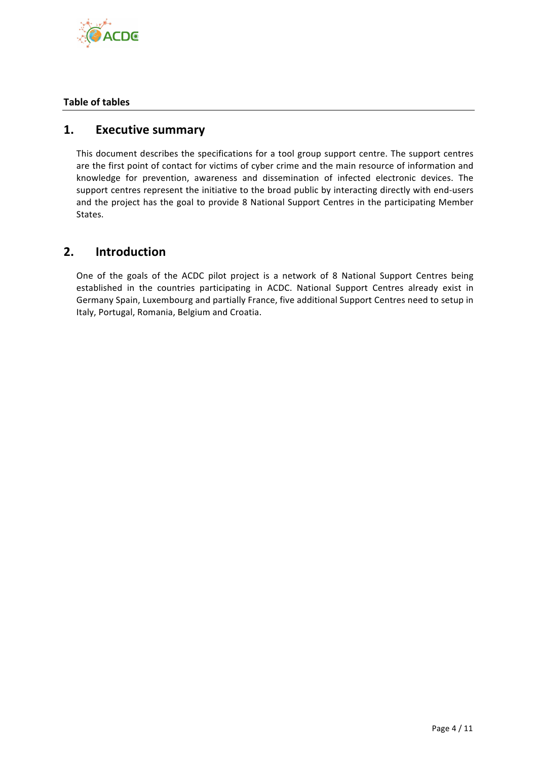

## **Table of tables**

# **1. Executive summary**

This document describes the specifications for a tool group support centre. The support centres are the first point of contact for victims of cyber crime and the main resource of information and knowledge for prevention, awareness and dissemination of infected electronic devices. The support centres represent the initiative to the broad public by interacting directly with end-users and the project has the goal to provide 8 National Support Centres in the participating Member States. 

# **2. Introduction**

One of the goals of the ACDC pilot project is a network of 8 National Support Centres being established in the countries participating in ACDC. National Support Centres already exist in Germany Spain, Luxembourg and partially France, five additional Support Centres need to setup in Italy, Portugal, Romania, Belgium and Croatia.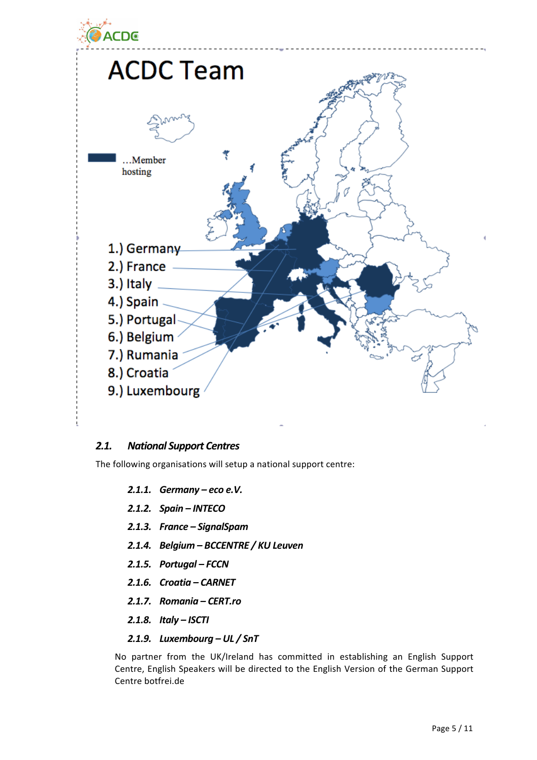

## **2.1.** National Support Centres

The following organisations will setup a national support centre:

- **2.1.1.** Germany eco e.V.
- *2.1.2. Spain – INTECO*
- *2.1.3. France – SignalSpam*
- 2.1.4. **Belgium BCCENTRE / KU Leuven**
- *2.1.5. Portugal – FCCN*
- *2.1.6. Croatia – CARNET*
- *2.1.7. Romania – CERT.ro*
- *2.1.8. Italy – ISCTI*

#### 2.1.9. Luxembourg - UL / SnT

No partner from the UK/Ireland has committed in establishing an English Support Centre, English Speakers will be directed to the English Version of the German Support Centre botfrei.de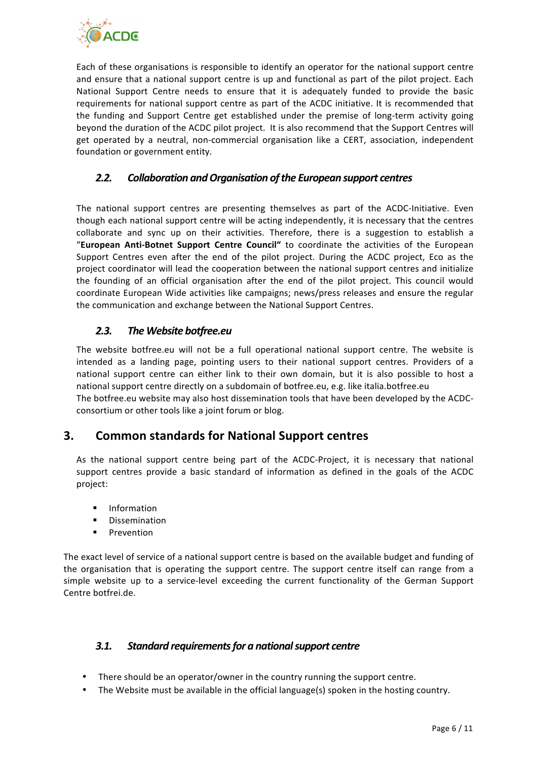

Each of these organisations is responsible to identify an operator for the national support centre and ensure that a national support centre is up and functional as part of the pilot project. Each National Support Centre needs to ensure that it is adequately funded to provide the basic requirements for national support centre as part of the ACDC initiative. It is recommended that the funding and Support Centre get established under the premise of long-term activity going beyond the duration of the ACDC pilot project. It is also recommend that the Support Centres will get operated by a neutral, non-commercial organisation like a CERT, association, independent foundation or government entity.

## 2.2. Collaboration and Organisation of the European support centres

The national support centres are presenting themselves as part of the ACDC-Initiative. Even though each national support centre will be acting independently, it is necessary that the centres collaborate and sync up on their activities. Therefore, there is a suggestion to establish a "European Anti-Botnet Support Centre Council" to coordinate the activities of the European Support Centres even after the end of the pilot project. During the ACDC project, Eco as the project coordinator will lead the cooperation between the national support centres and initialize the founding of an official organisation after the end of the pilot project. This council would coordinate European Wide activities like campaigns; news/press releases and ensure the regular the communication and exchange between the National Support Centres.

## *2.3. The Website botfree.eu*

The website botfree.eu will not be a full operational national support centre. The website is intended as a landing page, pointing users to their national support centres. Providers of a national support centre can either link to their own domain, but it is also possible to host a national support centre directly on a subdomain of botfree.eu, e.g. like italia.botfree.eu The botfree.eu website may also host dissemination tools that have been developed by the ACDCconsortium or other tools like a joint forum or blog.

# **3. Common standards for National Support centres**

As the national support centre being part of the ACDC-Project, it is necessary that national support centres provide a basic standard of information as defined in the goals of the ACDC project: 

- **Information**
- **Dissemination**
- **Prevention**

The exact level of service of a national support centre is based on the available budget and funding of the organisation that is operating the support centre. The support centre itself can range from a simple website up to a service-level exceeding the current functionality of the German Support Centre botfrei.de.

## **3.1.** Standard requirements for a national support centre

- There should be an operator/owner in the country running the support centre.
- The Website must be available in the official language(s) spoken in the hosting country.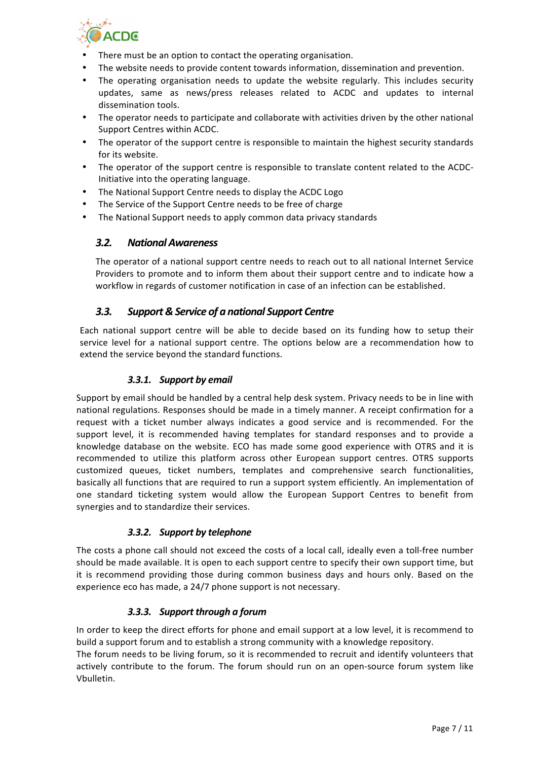

- There must be an option to contact the operating organisation.
- The website needs to provide content towards information, dissemination and prevention.
- The operating organisation needs to update the website regularly. This includes security updates, same as news/press releases related to ACDC and updates to internal dissemination tools.
- The operator needs to participate and collaborate with activities driven by the other national Support Centres within ACDC.
- The operator of the support centre is responsible to maintain the highest security standards for its website.
- The operator of the support centre is responsible to translate content related to the ACDC-Initiative into the operating language.
- The National Support Centre needs to display the ACDC Logo
- The Service of the Support Centre needs to be free of charge
- The National Support needs to apply common data privacy standards

## *3.2. National Awareness*

The operator of a national support centre needs to reach out to all national Internet Service Providers to promote and to inform them about their support centre and to indicate how a workflow in regards of customer notification in case of an infection can be established.

## *3.3. Support & Service of a national Support Centre*

Each national support centre will be able to decide based on its funding how to setup their service level for a national support centre. The options below are a recommendation how to extend the service beyond the standard functions.

#### 3.3.1. Support by email

Support by email should be handled by a central help desk system. Privacy needs to be in line with national regulations. Responses should be made in a timely manner. A receipt confirmation for a request with a ticket number always indicates a good service and is recommended. For the support level, it is recommended having templates for standard responses and to provide a knowledge database on the website. ECO has made some good experience with OTRS and it is recommended to utilize this platform across other European support centres. OTRS supports customized queues, ticket numbers, templates and comprehensive search functionalities, basically all functions that are required to run a support system efficiently. An implementation of one standard ticketing system would allow the European Support Centres to benefit from synergies and to standardize their services.

## **3.3.2.** Support by telephone

The costs a phone call should not exceed the costs of a local call, ideally even a toll-free number should be made available. It is open to each support centre to specify their own support time, but it is recommend providing those during common business days and hours only. Based on the experience eco has made, a 24/7 phone support is not necessary.

## *3.3.3. Support through a forum*

In order to keep the direct efforts for phone and email support at a low level, it is recommend to build a support forum and to establish a strong community with a knowledge repository.

The forum needs to be living forum, so it is recommended to recruit and identify volunteers that actively contribute to the forum. The forum should run on an open-source forum system like Vbulletin.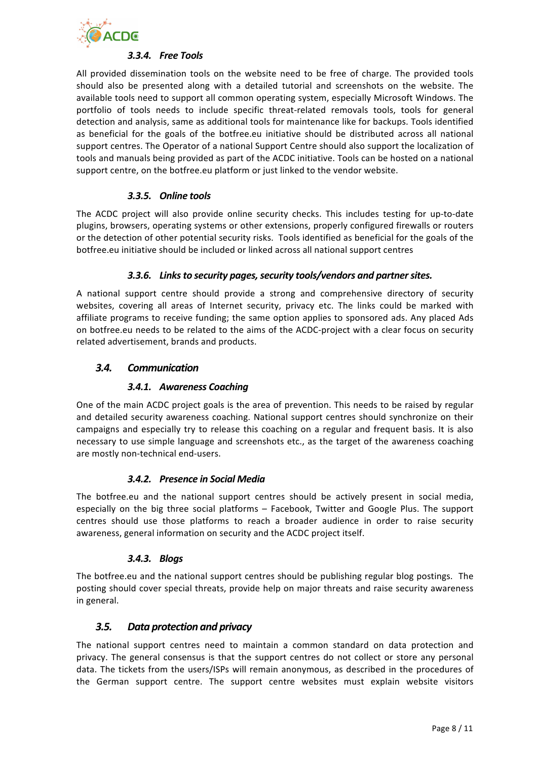

## *3.3.4. Free Tools*

All provided dissemination tools on the website need to be free of charge. The provided tools should also be presented along with a detailed tutorial and screenshots on the website. The available tools need to support all common operating system, especially Microsoft Windows. The portfolio of tools needs to include specific threat-related removals tools, tools for general detection and analysis, same as additional tools for maintenance like for backups. Tools identified as beneficial for the goals of the botfree.eu initiative should be distributed across all national support centres. The Operator of a national Support Centre should also support the localization of tools and manuals being provided as part of the ACDC initiative. Tools can be hosted on a national support centre, on the botfree.eu platform or just linked to the vendor website.

## *3.3.5. Online tools*

The ACDC project will also provide online security checks. This includes testing for up-to-date plugins, browsers, operating systems or other extensions, properly configured firewalls or routers or the detection of other potential security risks. Tools identified as beneficial for the goals of the botfree.eu initiative should be included or linked across all national support centres

#### 3.3.6. Links to security pages, security tools/vendors and partner sites.

A national support centre should provide a strong and comprehensive directory of security websites, covering all areas of Internet security, privacy etc. The links could be marked with affiliate programs to receive funding; the same option applies to sponsored ads. Any placed Ads on botfree.eu needs to be related to the aims of the ACDC-project with a clear focus on security related advertisement, brands and products.

#### *3.4. Communication*

#### **3.4.1.** Awareness Coaching

One of the main ACDC project goals is the area of prevention. This needs to be raised by regular and detailed security awareness coaching. National support centres should synchronize on their campaigns and especially try to release this coaching on a regular and frequent basis. It is also necessary to use simple language and screenshots etc., as the target of the awareness coaching are mostly non-technical end-users.

#### **3.4.2.** Presence in Social Media

The botfree.eu and the national support centres should be actively present in social media, especially on the big three social platforms  $-$  Facebook, Twitter and Google Plus. The support centres should use those platforms to reach a broader audience in order to raise security awareness, general information on security and the ACDC project itself.

## *3.4.3. Blogs*

The botfree.eu and the national support centres should be publishing regular blog postings. The posting should cover special threats, provide help on major threats and raise security awareness in general.

## **3.5.** Data protection and privacy

The national support centres need to maintain a common standard on data protection and privacy. The general consensus is that the support centres do not collect or store any personal data. The tickets from the users/ISPs will remain anonymous, as described in the procedures of the German support centre. The support centre websites must explain website visitors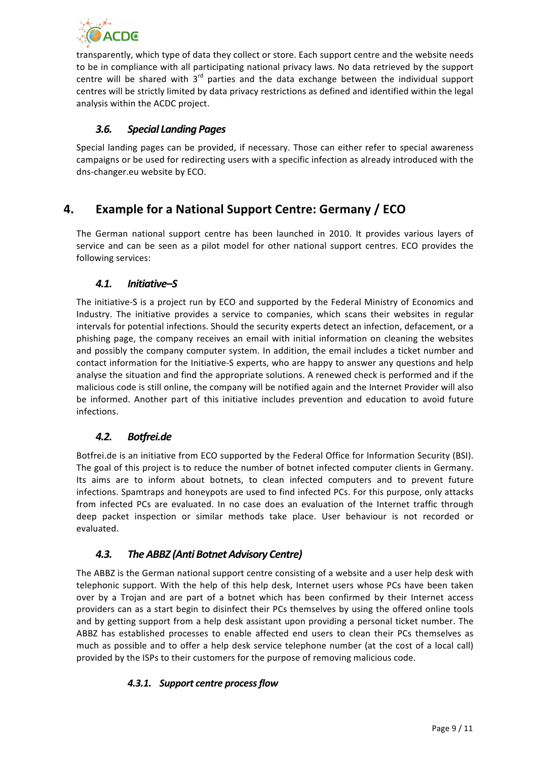

transparently, which type of data they collect or store. Each support centre and the website needs to be in compliance with all participating national privacy laws. No data retrieved by the support centre will be shared with  $3<sup>rd</sup>$  parties and the data exchange between the individual support centres will be strictly limited by data privacy restrictions as defined and identified within the legal analysis within the ACDC project.

# *3.6. Special Landing Pages*

Special landing pages can be provided, if necessary. Those can either refer to special awareness campaigns or be used for redirecting users with a specific infection as already introduced with the dns-changer.eu website by ECO.

# **4. Example for a National Support Centre: Germany / ECO**

The German national support centre has been launched in 2010. It provides various layers of service and can be seen as a pilot model for other national support centres. ECO provides the following services:

# *4.1. Initiative–S*

The initiative-S is a project run by ECO and supported by the Federal Ministry of Economics and Industry. The initiative provides a service to companies, which scans their websites in regular intervals for potential infections. Should the security experts detect an infection, defacement, or a phishing page, the company receives an email with initial information on cleaning the websites and possibly the company computer system. In addition, the email includes a ticket number and contact information for the Initiative-S experts, who are happy to answer any questions and help analyse the situation and find the appropriate solutions. A renewed check is performed and if the malicious code is still online, the company will be notified again and the Internet Provider will also be informed. Another part of this initiative includes prevention and education to avoid future infections. 

## *4.2. Botfrei.de*

Botfrei.de is an initiative from ECO supported by the Federal Office for Information Security (BSI). The goal of this project is to reduce the number of botnet infected computer clients in Germany. Its aims are to inform about botnets, to clean infected computers and to prevent future infections. Spamtraps and honeypots are used to find infected PCs. For this purpose, only attacks from infected PCs are evaluated. In no case does an evaluation of the Internet traffic through deep packet inspection or similar methods take place. User behaviour is not recorded or evaluated. 

## *4.3. The ABBZ (Anti Botnet Advisory Centre)*

The ABBZ is the German national support centre consisting of a website and a user help desk with telephonic support. With the help of this help desk, Internet users whose PCs have been taken over by a Trojan and are part of a botnet which has been confirmed by their Internet access providers can as a start begin to disinfect their PCs themselves by using the offered online tools and by getting support from a help desk assistant upon providing a personal ticket number. The ABBZ has established processes to enable affected end users to clean their PCs themselves as much as possible and to offer a help desk service telephone number (at the cost of a local call) provided by the ISPs to their customers for the purpose of removing malicious code.

## **4.3.1.** Support centre process flow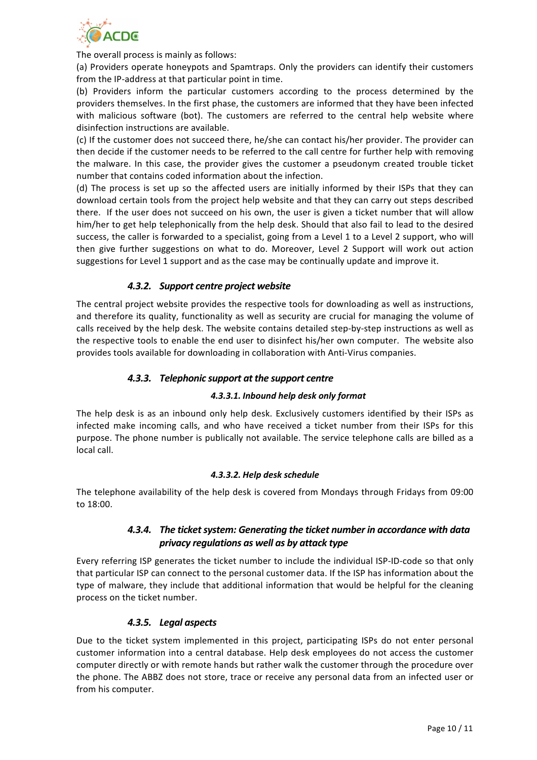

The overall process is mainly as follows:

(a) Providers operate honeypots and Spamtraps. Only the providers can identify their customers from the IP-address at that particular point in time.

(b) Providers inform the particular customers according to the process determined by the providers themselves. In the first phase, the customers are informed that they have been infected with malicious software (bot). The customers are referred to the central help website where disinfection instructions are available.

(c) If the customer does not succeed there, he/she can contact his/her provider. The provider can then decide if the customer needs to be referred to the call centre for further help with removing the malware. In this case, the provider gives the customer a pseudonym created trouble ticket number that contains coded information about the infection.

(d) The process is set up so the affected users are initially informed by their ISPs that they can download certain tools from the project help website and that they can carry out steps described there. If the user does not succeed on his own, the user is given a ticket number that will allow him/her to get help telephonically from the help desk. Should that also fail to lead to the desired success, the caller is forwarded to a specialist, going from a Level 1 to a Level 2 support, who will then give further suggestions on what to do. Moreover, Level 2 Support will work out action suggestions for Level 1 support and as the case may be continually update and improve it.

## *4.3.2. Support centre project website*

The central project website provides the respective tools for downloading as well as instructions, and therefore its quality, functionality as well as security are crucial for managing the volume of calls received by the help desk. The website contains detailed step-by-step instructions as well as the respective tools to enable the end user to disinfect his/her own computer. The website also provides tools available for downloading in collaboration with Anti-Virus companies.

#### **4.3.3.** Telephonic support at the support centre

#### *4.3.3.1. Inbound help desk only format*

The help desk is as an inbound only help desk. Exclusively customers identified by their ISPs as infected make incoming calls, and who have received a ticket number from their ISPs for this purpose. The phone number is publically not available. The service telephone calls are billed as a local call.

#### *4.3.3.2. Help desk schedule*

The telephone availability of the help desk is covered from Mondays through Fridays from 09:00 to 18:00. 

## **4.3.4.** The ticket system: Generating the ticket number in accordance with data *privacy regulations as well as by attack type*

Every referring ISP generates the ticket number to include the individual ISP-ID-code so that only that particular ISP can connect to the personal customer data. If the ISP has information about the type of malware, they include that additional information that would be helpful for the cleaning process on the ticket number.

#### *4.3.5. Legal aspects*

Due to the ticket system implemented in this project, participating ISPs do not enter personal customer information into a central database. Help desk employees do not access the customer computer directly or with remote hands but rather walk the customer through the procedure over the phone. The ABBZ does not store, trace or receive any personal data from an infected user or from his computer.